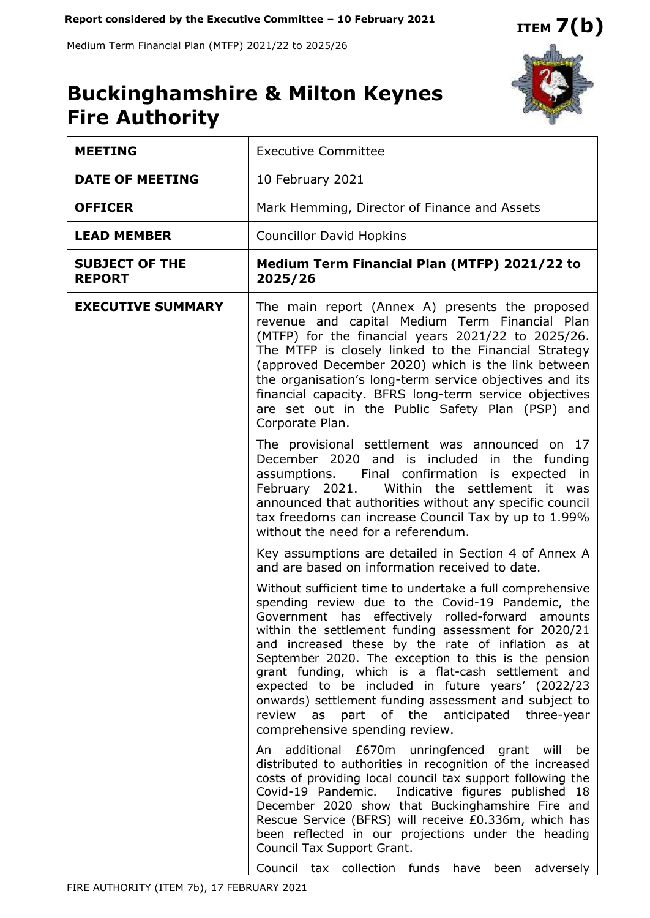Medium Term Financial Plan (MTFP) 2021/22 to 2025/26



# **Buckinghamshire & Milton Keynes Fire Authority**

| <b>MEETING</b>                         | <b>Executive Committee</b>                                                                                                                                                                                                                                                                                                                                                                                                                                                                                                                                                                      |  |  |  |  |
|----------------------------------------|-------------------------------------------------------------------------------------------------------------------------------------------------------------------------------------------------------------------------------------------------------------------------------------------------------------------------------------------------------------------------------------------------------------------------------------------------------------------------------------------------------------------------------------------------------------------------------------------------|--|--|--|--|
| <b>DATE OF MEETING</b>                 | 10 February 2021                                                                                                                                                                                                                                                                                                                                                                                                                                                                                                                                                                                |  |  |  |  |
| <b>OFFICER</b>                         | Mark Hemming, Director of Finance and Assets                                                                                                                                                                                                                                                                                                                                                                                                                                                                                                                                                    |  |  |  |  |
| <b>LEAD MEMBER</b>                     | <b>Councillor David Hopkins</b>                                                                                                                                                                                                                                                                                                                                                                                                                                                                                                                                                                 |  |  |  |  |
| <b>SUBJECT OF THE</b><br><b>REPORT</b> | Medium Term Financial Plan (MTFP) 2021/22 to<br>2025/26                                                                                                                                                                                                                                                                                                                                                                                                                                                                                                                                         |  |  |  |  |
| <b>EXECUTIVE SUMMARY</b>               | The main report (Annex A) presents the proposed<br>revenue and capital Medium Term Financial Plan<br>(MTFP) for the financial years 2021/22 to 2025/26.<br>The MTFP is closely linked to the Financial Strategy<br>(approved December 2020) which is the link between<br>the organisation's long-term service objectives and its<br>financial capacity. BFRS long-term service objectives<br>are set out in the Public Safety Plan (PSP) and<br>Corporate Plan.                                                                                                                                 |  |  |  |  |
|                                        | The provisional settlement was announced on 17<br>December 2020 and is included in the funding<br>assumptions. Final confirmation is expected in<br>Within the settlement it was<br>February 2021.<br>announced that authorities without any specific council<br>tax freedoms can increase Council Tax by up to 1.99%<br>without the need for a referendum.                                                                                                                                                                                                                                     |  |  |  |  |
|                                        | Key assumptions are detailed in Section 4 of Annex A<br>and are based on information received to date.                                                                                                                                                                                                                                                                                                                                                                                                                                                                                          |  |  |  |  |
|                                        | Without sufficient time to undertake a full comprehensive<br>spending review due to the Covid-19 Pandemic, the<br>Government has effectively rolled-forward amounts<br>within the settlement funding assessment for 2020/21<br>and increased these by the rate of inflation as at<br>September 2020. The exception to this is the pension<br>grant funding, which is a flat-cash settlement and<br>expected to be included in future years' (2022/23<br>onwards) settlement funding assessment and subject to<br>review as part of the anticipated three-year<br>comprehensive spending review. |  |  |  |  |
|                                        | additional £670m unringfenced grant will be<br>An<br>distributed to authorities in recognition of the increased<br>costs of providing local council tax support following the<br>Covid-19 Pandemic. Indicative figures published 18<br>December 2020 show that Buckinghamshire Fire and<br>Rescue Service (BFRS) will receive £0.336m, which has<br>been reflected in our projections under the heading<br>Council Tax Support Grant.<br>Council tax collection funds have<br>been adversely                                                                                                    |  |  |  |  |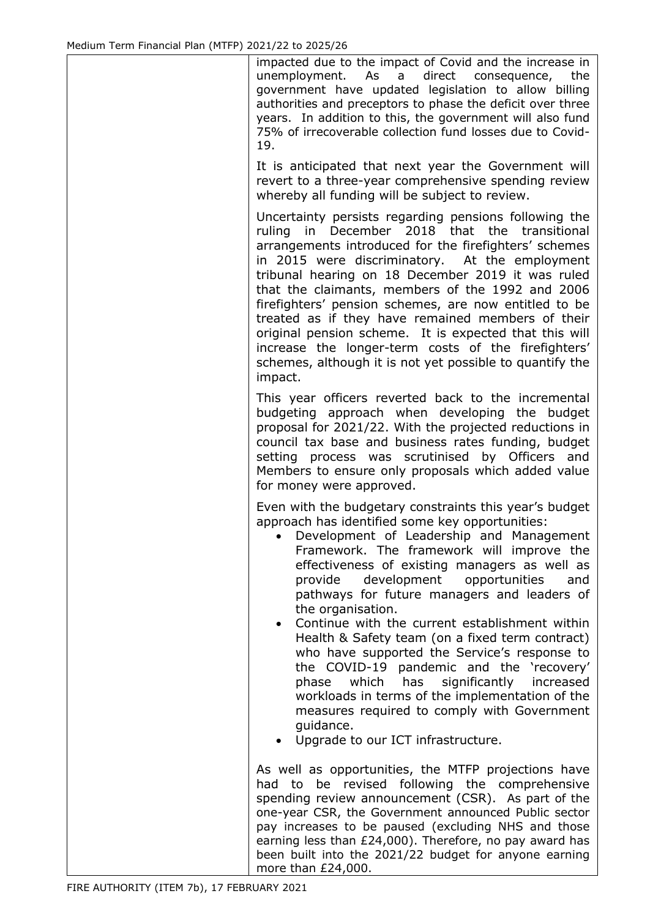impacted due to the impact of Covid and the increase in unemployment. As a direct consequence, the government have updated legislation to allow billing authorities and preceptors to phase the deficit over three years. In addition to this, the government will also fund 75% of irrecoverable collection fund losses due to Covid-19.

It is anticipated that next year the Government will revert to a three-year comprehensive spending review whereby all funding will be subject to review.

Uncertainty persists regarding pensions following the ruling in December 2018 that the transitional arrangements introduced for the firefighters' schemes in 2015 were discriminatory. At the employment tribunal hearing on 18 December 2019 it was ruled that the claimants, members of the 1992 and 2006 firefighters' pension schemes, are now entitled to be treated as if they have remained members of their original pension scheme. It is expected that this will increase the longer-term costs of the firefighters' schemes, although it is not yet possible to quantify the impact.

This year officers reverted back to the incremental budgeting approach when developing the budget proposal for 2021/22. With the projected reductions in council tax base and business rates funding, budget setting process was scrutinised by Officers and Members to ensure only proposals which added value for money were approved.

Even with the budgetary constraints this year's budget approach has identified some key opportunities:

- Development of Leadership and Management Framework. The framework will improve the effectiveness of existing managers as well as provide development opportunities and pathways for future managers and leaders of the organisation.
- Continue with the current establishment within Health & Safety team (on a fixed term contract) who have supported the Service's response to the COVID-19 pandemic and the 'recovery' phase which has significantly increased workloads in terms of the implementation of the measures required to comply with Government guidance.
- Upgrade to our ICT infrastructure.

As well as opportunities, the MTFP projections have had to be revised following the comprehensive spending review announcement (CSR). As part of the one-year CSR, the Government announced Public sector pay increases to be paused (excluding NHS and those earning less than £24,000). Therefore, no pay award has been built into the 2021/22 budget for anyone earning more than £24,000.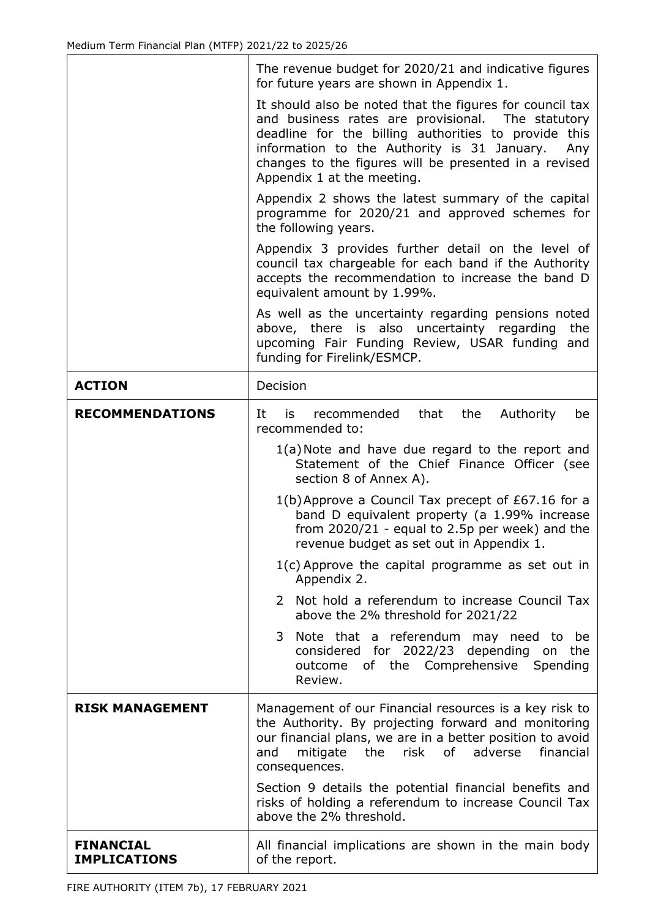|                                         | The revenue budget for 2020/21 and indicative figures<br>for future years are shown in Appendix 1.                                                                                                                                                                                                                 |  |  |  |  |  |
|-----------------------------------------|--------------------------------------------------------------------------------------------------------------------------------------------------------------------------------------------------------------------------------------------------------------------------------------------------------------------|--|--|--|--|--|
|                                         | It should also be noted that the figures for council tax<br>and business rates are provisional. The statutory<br>deadline for the billing authorities to provide this<br>information to the Authority is 31 January.<br>Any<br>changes to the figures will be presented in a revised<br>Appendix 1 at the meeting. |  |  |  |  |  |
|                                         | Appendix 2 shows the latest summary of the capital<br>programme for 2020/21 and approved schemes for<br>the following years.                                                                                                                                                                                       |  |  |  |  |  |
|                                         | Appendix 3 provides further detail on the level of<br>council tax chargeable for each band if the Authority<br>accepts the recommendation to increase the band D<br>equivalent amount by 1.99%.                                                                                                                    |  |  |  |  |  |
|                                         | As well as the uncertainty regarding pensions noted<br>above, there is also uncertainty regarding<br>the<br>upcoming Fair Funding Review, USAR funding and<br>funding for Firelink/ESMCP.                                                                                                                          |  |  |  |  |  |
| <b>ACTION</b>                           | Decision                                                                                                                                                                                                                                                                                                           |  |  |  |  |  |
| <b>RECOMMENDATIONS</b>                  | that<br>the<br>Authority<br>It<br>is<br>recommended<br>be<br>recommended to:                                                                                                                                                                                                                                       |  |  |  |  |  |
|                                         | 1(a) Note and have due regard to the report and<br>Statement of the Chief Finance Officer (see<br>section 8 of Annex A).                                                                                                                                                                                           |  |  |  |  |  |
|                                         | $1(b)$ Approve a Council Tax precept of £67.16 for a<br>band D equivalent property (a 1.99% increase<br>from $2020/21$ - equal to 2.5p per week) and the<br>revenue budget as set out in Appendix 1.                                                                                                               |  |  |  |  |  |
|                                         | $1(c)$ Approve the capital programme as set out in<br>Appendix 2.                                                                                                                                                                                                                                                  |  |  |  |  |  |
|                                         | Not hold a referendum to increase Council Tax<br>2<br>above the 2% threshold for 2021/22                                                                                                                                                                                                                           |  |  |  |  |  |
|                                         | Note that a referendum may need to<br>3<br>be<br>considered for 2022/23 depending on<br>the<br>of the Comprehensive Spending<br>outcome<br>Review.                                                                                                                                                                 |  |  |  |  |  |
| <b>RISK MANAGEMENT</b>                  | Management of our Financial resources is a key risk to<br>the Authority. By projecting forward and monitoring<br>our financial plans, we are in a better position to avoid<br>financial<br>mitigate the risk of adverse<br>and<br>consequences.                                                                    |  |  |  |  |  |
|                                         | Section 9 details the potential financial benefits and<br>risks of holding a referendum to increase Council Tax<br>above the 2% threshold.                                                                                                                                                                         |  |  |  |  |  |
| <b>FINANCIAL</b><br><b>IMPLICATIONS</b> | All financial implications are shown in the main body<br>of the report.                                                                                                                                                                                                                                            |  |  |  |  |  |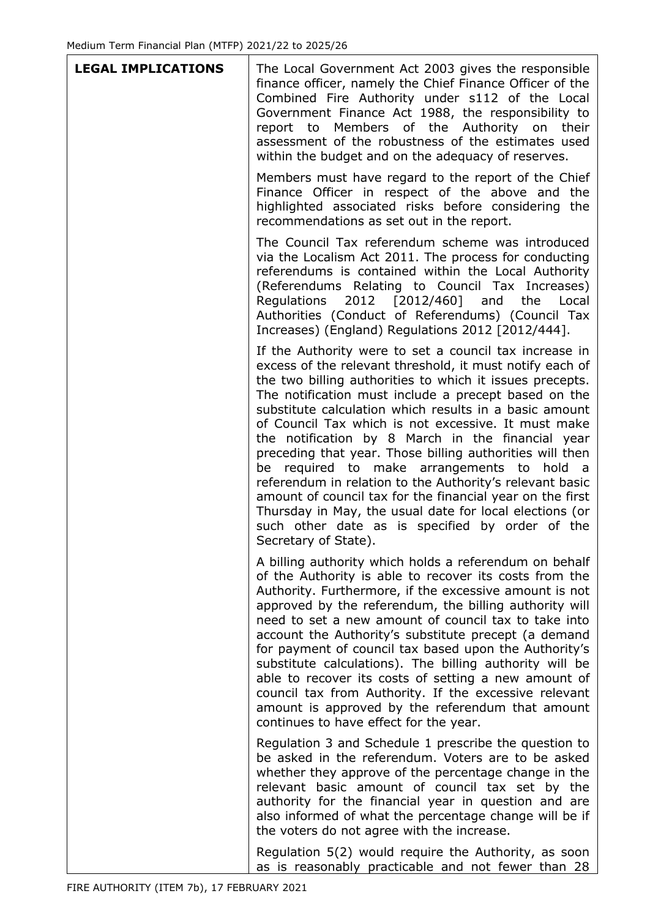$\top$ 

| <b>LEGAL IMPLICATIONS</b> | The Local Government Act 2003 gives the responsible<br>finance officer, namely the Chief Finance Officer of the<br>Combined Fire Authority under s112 of the Local<br>Government Finance Act 1988, the responsibility to<br>report to Members of the Authority on<br>their<br>assessment of the robustness of the estimates used<br>within the budget and on the adequacy of reserves.                                                                                                                                                                                                                                                                                                                                                                                                |
|---------------------------|---------------------------------------------------------------------------------------------------------------------------------------------------------------------------------------------------------------------------------------------------------------------------------------------------------------------------------------------------------------------------------------------------------------------------------------------------------------------------------------------------------------------------------------------------------------------------------------------------------------------------------------------------------------------------------------------------------------------------------------------------------------------------------------|
|                           | Members must have regard to the report of the Chief<br>Finance Officer in respect of the above and the<br>highlighted associated risks before considering the<br>recommendations as set out in the report.                                                                                                                                                                                                                                                                                                                                                                                                                                                                                                                                                                            |
|                           | The Council Tax referendum scheme was introduced<br>via the Localism Act 2011. The process for conducting<br>referendums is contained within the Local Authority<br>(Referendums Relating to Council Tax Increases)<br>2012 [2012/460] and<br>Regulations<br>the<br>Local<br>Authorities (Conduct of Referendums) (Council Tax<br>Increases) (England) Regulations 2012 [2012/444].                                                                                                                                                                                                                                                                                                                                                                                                   |
|                           | If the Authority were to set a council tax increase in<br>excess of the relevant threshold, it must notify each of<br>the two billing authorities to which it issues precepts.<br>The notification must include a precept based on the<br>substitute calculation which results in a basic amount<br>of Council Tax which is not excessive. It must make<br>the notification by 8 March in the financial year<br>preceding that year. Those billing authorities will then<br>be required to make arrangements to hold a<br>referendum in relation to the Authority's relevant basic<br>amount of council tax for the financial year on the first<br>Thursday in May, the usual date for local elections (or<br>such other date as is specified by order of the<br>Secretary of State). |
|                           | A billing authority which holds a referendum on behalf<br>of the Authority is able to recover its costs from the<br>Authority. Furthermore, if the excessive amount is not<br>approved by the referendum, the billing authority will<br>need to set a new amount of council tax to take into<br>account the Authority's substitute precept (a demand<br>for payment of council tax based upon the Authority's<br>substitute calculations). The billing authority will be<br>able to recover its costs of setting a new amount of<br>council tax from Authority. If the excessive relevant<br>amount is approved by the referendum that amount<br>continues to have effect for the year.                                                                                               |
|                           | Regulation 3 and Schedule 1 prescribe the question to<br>be asked in the referendum. Voters are to be asked<br>whether they approve of the percentage change in the<br>relevant basic amount of council tax set by the<br>authority for the financial year in question and are<br>also informed of what the percentage change will be if<br>the voters do not agree with the increase.                                                                                                                                                                                                                                                                                                                                                                                                |
|                           | Regulation 5(2) would require the Authority, as soon<br>as is reasonably practicable and not fewer than 28                                                                                                                                                                                                                                                                                                                                                                                                                                                                                                                                                                                                                                                                            |

٦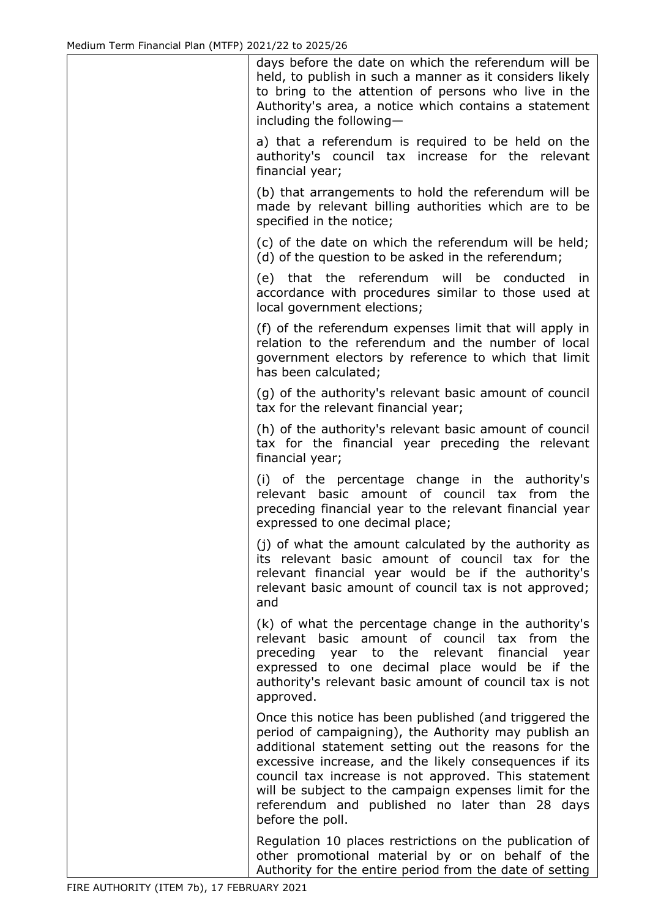| days before the date on which the referendum will be<br>held, to publish in such a manner as it considers likely<br>to bring to the attention of persons who live in the<br>Authority's area, a notice which contains a statement<br>including the following-                                                                                                                                                            |
|--------------------------------------------------------------------------------------------------------------------------------------------------------------------------------------------------------------------------------------------------------------------------------------------------------------------------------------------------------------------------------------------------------------------------|
| a) that a referendum is required to be held on the<br>authority's council tax increase for the relevant<br>financial year;                                                                                                                                                                                                                                                                                               |
| (b) that arrangements to hold the referendum will be<br>made by relevant billing authorities which are to be<br>specified in the notice;                                                                                                                                                                                                                                                                                 |
| (c) of the date on which the referendum will be held;<br>(d) of the question to be asked in the referendum;                                                                                                                                                                                                                                                                                                              |
| (e) that the referendum will be conducted<br>in<br>accordance with procedures similar to those used at<br>local government elections;                                                                                                                                                                                                                                                                                    |
| (f) of the referendum expenses limit that will apply in<br>relation to the referendum and the number of local<br>government electors by reference to which that limit<br>has been calculated;                                                                                                                                                                                                                            |
| (g) of the authority's relevant basic amount of council<br>tax for the relevant financial year;                                                                                                                                                                                                                                                                                                                          |
| (h) of the authority's relevant basic amount of council<br>tax for the financial year preceding the relevant<br>financial year;                                                                                                                                                                                                                                                                                          |
| (i) of the percentage change in the authority's<br>relevant basic amount of council tax from the<br>preceding financial year to the relevant financial year<br>expressed to one decimal place;                                                                                                                                                                                                                           |
| (j) of what the amount calculated by the authority as<br>its relevant basic amount of council tax for the<br>relevant financial year would be if the authority's<br>relevant basic amount of council tax is not approved;<br>and                                                                                                                                                                                         |
| (k) of what the percentage change in the authority's<br>relevant basic amount of council tax from<br>the<br>preceding year to the relevant<br>financial<br>year<br>expressed to one decimal place would be if the<br>authority's relevant basic amount of council tax is not<br>approved.                                                                                                                                |
| Once this notice has been published (and triggered the<br>period of campaigning), the Authority may publish an<br>additional statement setting out the reasons for the<br>excessive increase, and the likely consequences if its<br>council tax increase is not approved. This statement<br>will be subject to the campaign expenses limit for the<br>referendum and published no later than 28 days<br>before the poll. |
| Regulation 10 places restrictions on the publication of<br>other promotional material by or on behalf of the<br>Authority for the entire period from the date of setting                                                                                                                                                                                                                                                 |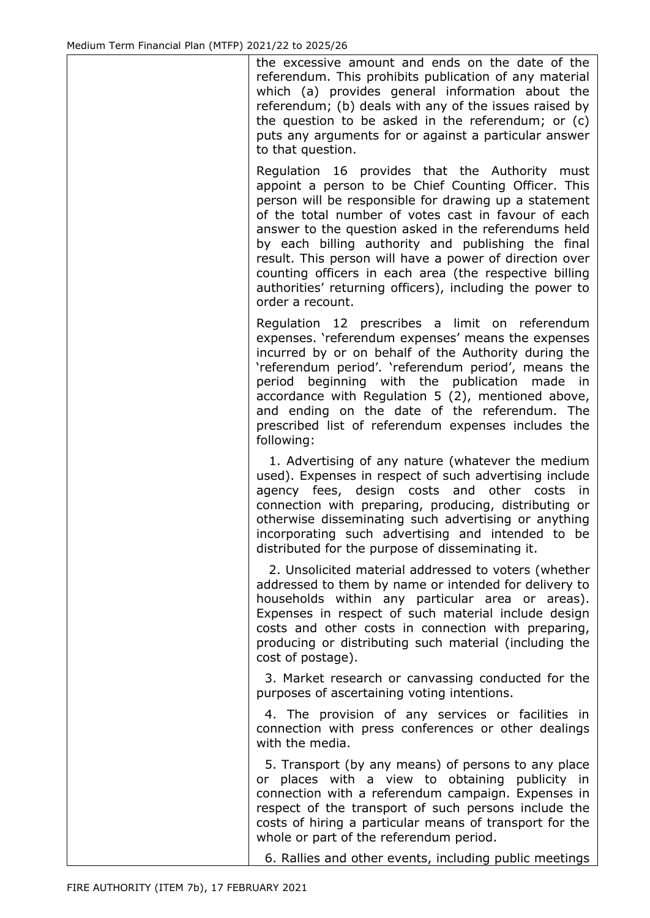the excessive amount and ends on the date of the referendum. This prohibits publication of any material which (a) provides general information about the referendum; (b) deals with any of the issues raised by the question to be asked in the referendum; or (c) puts any arguments for or against a particular answer to that question.

Regulation 16 provides that the Authority must appoint a person to be Chief Counting Officer. This person will be responsible for drawing up a statement of the total number of votes cast in favour of each answer to the question asked in the referendums held by each billing authority and publishing the final result. This person will have a power of direction over counting officers in each area (the respective billing authorities' returning officers), including the power to order a recount.

Regulation 12 prescribes a limit on referendum expenses. 'referendum expenses' means the expenses incurred by or on behalf of the Authority during the 'referendum period'. 'referendum period', means the period beginning with the publication made in accordance with Regulation 5 (2), mentioned above, and ending on the date of the referendum. The prescribed list of referendum expenses includes the following:

 1. Advertising of any nature (whatever the medium used). Expenses in respect of such advertising include agency fees, design costs and other costs in connection with preparing, producing, distributing or otherwise disseminating such advertising or anything incorporating such advertising and intended to be distributed for the purpose of disseminating it.

 2. Unsolicited material addressed to voters (whether addressed to them by name or intended for delivery to households within any particular area or areas). Expenses in respect of such material include design costs and other costs in connection with preparing, producing or distributing such material (including the cost of postage).

 3. Market research or canvassing conducted for the purposes of ascertaining voting intentions.

 4. The provision of any services or facilities in connection with press conferences or other dealings with the media.

 5. Transport (by any means) of persons to any place or places with a view to obtaining publicity in connection with a referendum campaign. Expenses in respect of the transport of such persons include the costs of hiring a particular means of transport for the whole or part of the referendum period.

6. Rallies and other events, including public meetings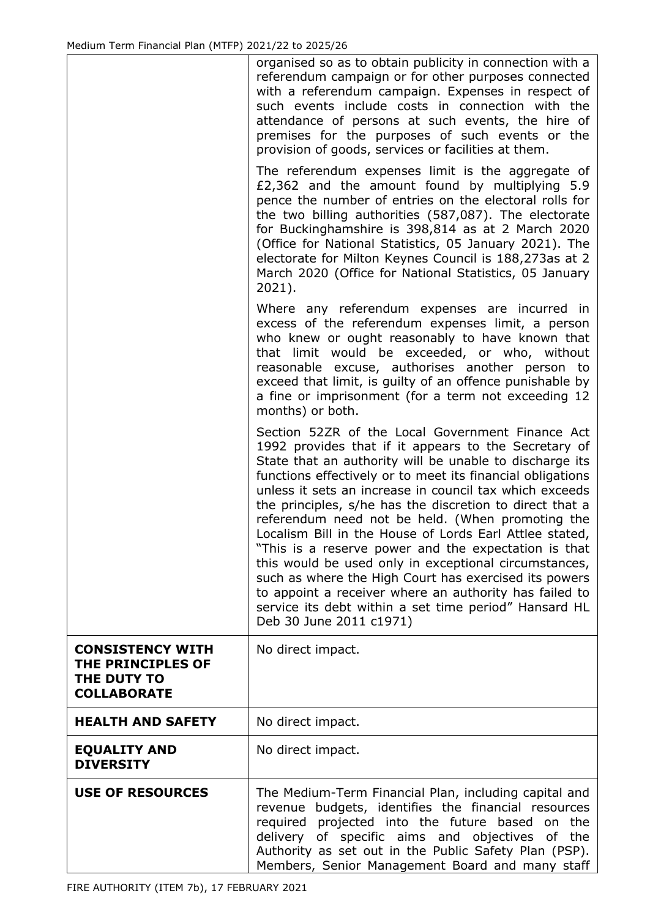|                                                                                   | organised so as to obtain publicity in connection with a<br>referendum campaign or for other purposes connected<br>with a referendum campaign. Expenses in respect of<br>such events include costs in connection with the<br>attendance of persons at such events, the hire of<br>premises for the purposes of such events or the<br>provision of goods, services or facilities at them.                                                                                                                                                                                                                                                                                                                                                                                                        |
|-----------------------------------------------------------------------------------|-------------------------------------------------------------------------------------------------------------------------------------------------------------------------------------------------------------------------------------------------------------------------------------------------------------------------------------------------------------------------------------------------------------------------------------------------------------------------------------------------------------------------------------------------------------------------------------------------------------------------------------------------------------------------------------------------------------------------------------------------------------------------------------------------|
|                                                                                   | The referendum expenses limit is the aggregate of<br>£2,362 and the amount found by multiplying 5.9<br>pence the number of entries on the electoral rolls for<br>the two billing authorities (587,087). The electorate<br>for Buckinghamshire is 398,814 as at 2 March 2020<br>(Office for National Statistics, 05 January 2021). The<br>electorate for Milton Keynes Council is 188,273as at 2<br>March 2020 (Office for National Statistics, 05 January<br>$2021$ ).                                                                                                                                                                                                                                                                                                                          |
|                                                                                   | Where any referendum expenses are incurred in<br>excess of the referendum expenses limit, a person<br>who knew or ought reasonably to have known that<br>that limit would be exceeded, or who, without<br>reasonable excuse, authorises another person to<br>exceed that limit, is guilty of an offence punishable by<br>a fine or imprisonment (for a term not exceeding 12<br>months) or both.                                                                                                                                                                                                                                                                                                                                                                                                |
|                                                                                   | Section 52ZR of the Local Government Finance Act<br>1992 provides that if it appears to the Secretary of<br>State that an authority will be unable to discharge its<br>functions effectively or to meet its financial obligations<br>unless it sets an increase in council tax which exceeds<br>the principles, s/he has the discretion to direct that a<br>referendum need not be held. (When promoting the<br>Localism Bill in the House of Lords Earl Attlee stated,<br>"This is a reserve power and the expectation is that<br>this would be used only in exceptional circumstances,<br>such as where the High Court has exercised its powers<br>to appoint a receiver where an authority has failed to<br>service its debt within a set time period" Hansard HL<br>Deb 30 June 2011 c1971) |
| <b>CONSISTENCY WITH</b><br>THE PRINCIPLES OF<br>THE DUTY TO<br><b>COLLABORATE</b> | No direct impact.                                                                                                                                                                                                                                                                                                                                                                                                                                                                                                                                                                                                                                                                                                                                                                               |
| <b>HEALTH AND SAFETY</b>                                                          | No direct impact.                                                                                                                                                                                                                                                                                                                                                                                                                                                                                                                                                                                                                                                                                                                                                                               |
| <b>EQUALITY AND</b><br><b>DIVERSITY</b>                                           | No direct impact.                                                                                                                                                                                                                                                                                                                                                                                                                                                                                                                                                                                                                                                                                                                                                                               |
| <b>USE OF RESOURCES</b>                                                           | The Medium-Term Financial Plan, including capital and<br>revenue budgets, identifies the financial resources<br>required projected into the future based on the<br>delivery of specific aims and objectives of<br>the<br>Authority as set out in the Public Safety Plan (PSP).<br>Members, Senior Management Board and many staff                                                                                                                                                                                                                                                                                                                                                                                                                                                               |

٦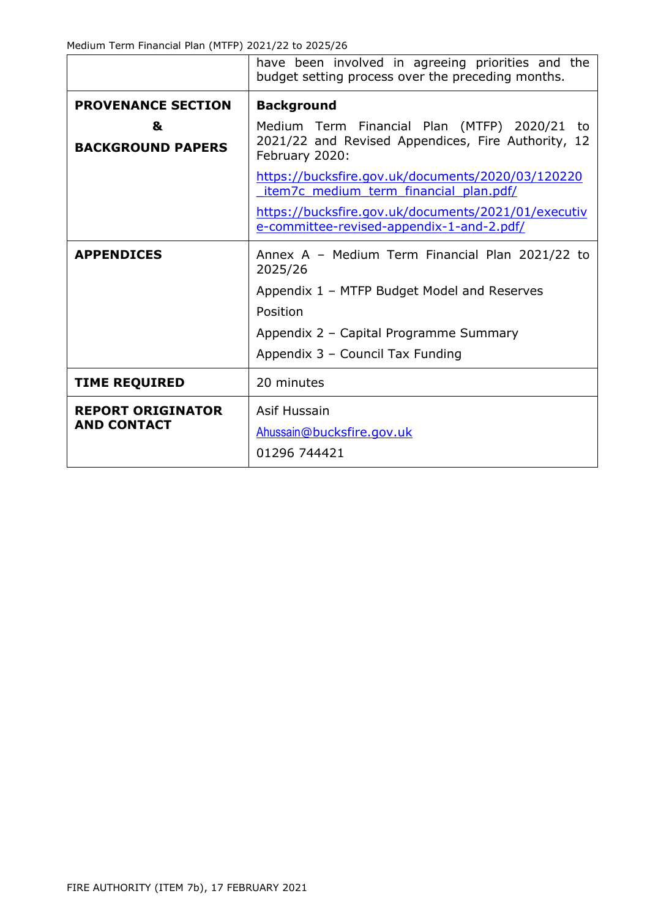Medium Term Financial Plan (MTFP) 2021/22 to 2025/26

|                                                | have been involved in agreeing priorities and the<br>budget setting process over the preceding months.               |  |  |  |  |  |  |
|------------------------------------------------|----------------------------------------------------------------------------------------------------------------------|--|--|--|--|--|--|
| <b>PROVENANCE SECTION</b>                      | <b>Background</b>                                                                                                    |  |  |  |  |  |  |
| &<br><b>BACKGROUND PAPERS</b>                  | Medium Term Financial Plan (MTFP) 2020/21 to<br>2021/22 and Revised Appendices, Fire Authority, 12<br>February 2020: |  |  |  |  |  |  |
|                                                | https://bucksfire.gov.uk/documents/2020/03/120220<br>item7c medium term financial plan.pdf/                          |  |  |  |  |  |  |
|                                                | https://bucksfire.gov.uk/documents/2021/01/executiv<br>e-committee-revised-appendix-1-and-2.pdf/                     |  |  |  |  |  |  |
| <b>APPENDICES</b>                              | Annex A - Medium Term Financial Plan 2021/22 to<br>2025/26                                                           |  |  |  |  |  |  |
|                                                | Appendix 1 - MTFP Budget Model and Reserves                                                                          |  |  |  |  |  |  |
|                                                | Position                                                                                                             |  |  |  |  |  |  |
|                                                | Appendix 2 - Capital Programme Summary                                                                               |  |  |  |  |  |  |
|                                                | Appendix 3 - Council Tax Funding                                                                                     |  |  |  |  |  |  |
| <b>TIME REQUIRED</b>                           | 20 minutes                                                                                                           |  |  |  |  |  |  |
| <b>REPORT ORIGINATOR</b><br><b>AND CONTACT</b> | Asif Hussain<br>Ahussain@bucksfire.gov.uk<br>01296 744421                                                            |  |  |  |  |  |  |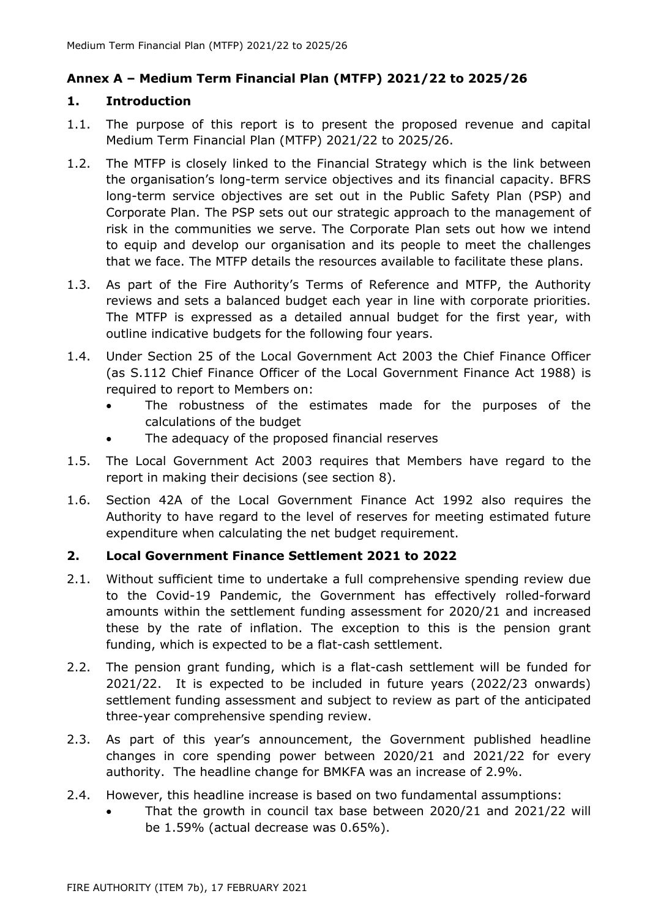# **Annex A – Medium Term Financial Plan (MTFP) 2021/22 to 2025/26**

#### **1. Introduction**

- 1.1. The purpose of this report is to present the proposed revenue and capital Medium Term Financial Plan (MTFP) 2021/22 to 2025/26.
- 1.2. The MTFP is closely linked to the Financial Strategy which is the link between the organisation's long-term service objectives and its financial capacity. BFRS long-term service objectives are set out in the Public Safety Plan (PSP) and Corporate Plan. The PSP sets out our strategic approach to the management of risk in the communities we serve. The Corporate Plan sets out how we intend to equip and develop our organisation and its people to meet the challenges that we face. The MTFP details the resources available to facilitate these plans.
- 1.3. As part of the Fire Authority's Terms of Reference and MTFP, the Authority reviews and sets a balanced budget each year in line with corporate priorities. The MTFP is expressed as a detailed annual budget for the first year, with outline indicative budgets for the following four years.
- 1.4. Under Section 25 of the Local Government Act 2003 the Chief Finance Officer (as S.112 Chief Finance Officer of the Local Government Finance Act 1988) is required to report to Members on:
	- The robustness of the estimates made for the purposes of the calculations of the budget
	- The adequacy of the proposed financial reserves
- 1.5. The Local Government Act 2003 requires that Members have regard to the report in making their decisions (see section 8).
- 1.6. Section 42A of the Local Government Finance Act 1992 also requires the Authority to have regard to the level of reserves for meeting estimated future expenditure when calculating the net budget requirement.

## **2. Local Government Finance Settlement 2021 to 2022**

- 2.1. Without sufficient time to undertake a full comprehensive spending review due to the Covid-19 Pandemic, the Government has effectively rolled-forward amounts within the settlement funding assessment for 2020/21 and increased these by the rate of inflation. The exception to this is the pension grant funding, which is expected to be a flat-cash settlement.
- 2.2. The pension grant funding, which is a flat-cash settlement will be funded for 2021/22. It is expected to be included in future years (2022/23 onwards) settlement funding assessment and subject to review as part of the anticipated three-year comprehensive spending review.
- 2.3. As part of this year's announcement, the Government published headline changes in core spending power between 2020/21 and 2021/22 for every authority. The headline change for BMKFA was an increase of 2.9%.
- 2.4. However, this headline increase is based on two fundamental assumptions:
	- That the growth in council tax base between 2020/21 and 2021/22 will be 1.59% (actual decrease was 0.65%).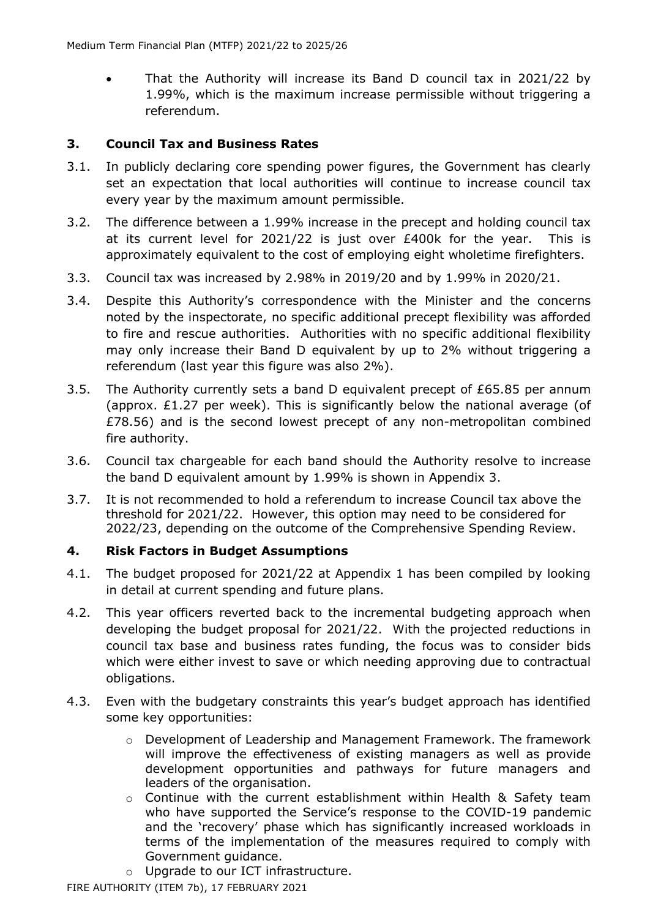• That the Authority will increase its Band D council tax in 2021/22 by 1.99%, which is the maximum increase permissible without triggering a referendum.

# **3. Council Tax and Business Rates**

- 3.1. In publicly declaring core spending power figures, the Government has clearly set an expectation that local authorities will continue to increase council tax every year by the maximum amount permissible.
- 3.2. The difference between a 1.99% increase in the precept and holding council tax at its current level for 2021/22 is just over £400k for the year. This is approximately equivalent to the cost of employing eight wholetime firefighters.
- 3.3. Council tax was increased by 2.98% in 2019/20 and by 1.99% in 2020/21.
- 3.4. Despite this Authority's correspondence with the Minister and the concerns noted by the inspectorate, no specific additional precept flexibility was afforded to fire and rescue authorities. Authorities with no specific additional flexibility may only increase their Band D equivalent by up to 2% without triggering a referendum (last year this figure was also 2%).
- 3.5. The Authority currently sets a band D equivalent precept of £65.85 per annum (approx.  $£1.27$  per week). This is significantly below the national average (of £78.56) and is the second lowest precept of any non-metropolitan combined fire authority.
- 3.6. Council tax chargeable for each band should the Authority resolve to increase the band D equivalent amount by 1.99% is shown in Appendix 3.
- 3.7. It is not recommended to hold a referendum to increase Council tax above the threshold for 2021/22. However, this option may need to be considered for 2022/23, depending on the outcome of the Comprehensive Spending Review.

## **4. Risk Factors in Budget Assumptions**

- 4.1. The budget proposed for 2021/22 at Appendix 1 has been compiled by looking in detail at current spending and future plans.
- 4.2. This year officers reverted back to the incremental budgeting approach when developing the budget proposal for 2021/22. With the projected reductions in council tax base and business rates funding, the focus was to consider bids which were either invest to save or which needing approving due to contractual obligations.
- 4.3. Even with the budgetary constraints this year's budget approach has identified some key opportunities:
	- o Development of Leadership and Management Framework. The framework will improve the effectiveness of existing managers as well as provide development opportunities and pathways for future managers and leaders of the organisation.
	- o Continue with the current establishment within Health & Safety team who have supported the Service's response to the COVID-19 pandemic and the 'recovery' phase which has significantly increased workloads in terms of the implementation of the measures required to comply with Government guidance.
	- o Upgrade to our ICT infrastructure.

FIRE AUTHORITY (ITEM 7b), 17 FEBRUARY 2021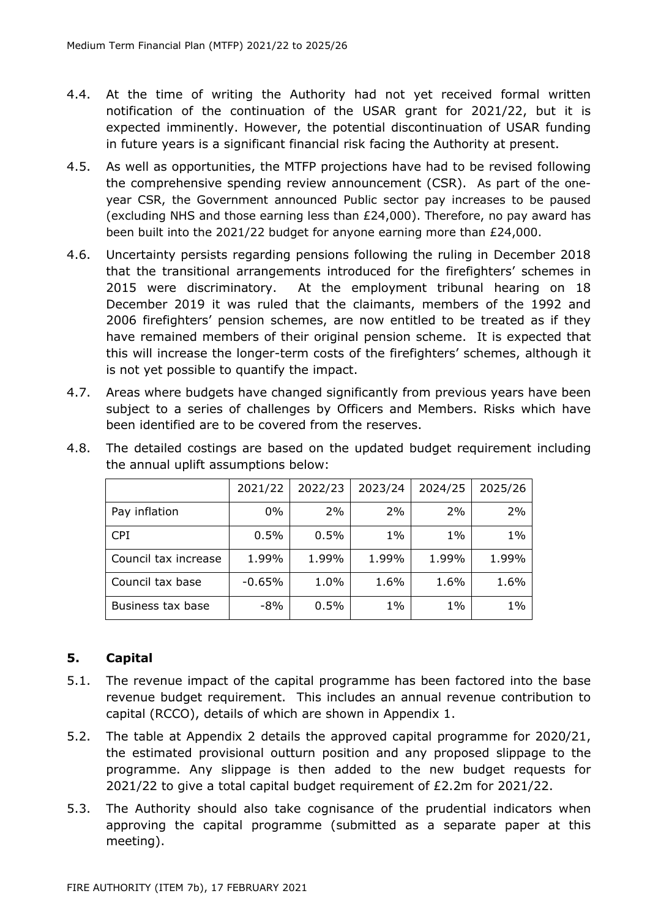- 4.4. At the time of writing the Authority had not yet received formal written notification of the continuation of the USAR grant for 2021/22, but it is expected imminently. However, the potential discontinuation of USAR funding in future years is a significant financial risk facing the Authority at present.
- 4.5. As well as opportunities, the MTFP projections have had to be revised following the comprehensive spending review announcement (CSR). As part of the oneyear CSR, the Government announced Public sector pay increases to be paused (excluding NHS and those earning less than £24,000). Therefore, no pay award has been built into the 2021/22 budget for anyone earning more than £24,000.
- 4.6. Uncertainty persists regarding pensions following the ruling in December 2018 that the transitional arrangements introduced for the firefighters' schemes in 2015 were discriminatory. At the employment tribunal hearing on 18 December 2019 it was ruled that the claimants, members of the 1992 and 2006 firefighters' pension schemes, are now entitled to be treated as if they have remained members of their original pension scheme. It is expected that this will increase the longer-term costs of the firefighters' schemes, although it is not yet possible to quantify the impact.
- 4.7. Areas where budgets have changed significantly from previous years have been subject to a series of challenges by Officers and Members. Risks which have been identified are to be covered from the reserves.

|                      | 2021/22  | 2022/23 | 2023/24 | 2024/25 | 2025/26 |
|----------------------|----------|---------|---------|---------|---------|
| Pay inflation        | $0\%$    | 2%      | 2%      | 2%      | 2%      |
| <b>CPI</b>           | 0.5%     | 0.5%    | $1\%$   | $1\%$   | $1\%$   |
| Council tax increase | 1.99%    | 1.99%   | 1.99%   | 1.99%   | 1.99%   |
| Council tax base     | $-0.65%$ | 1.0%    | 1.6%    | 1.6%    | 1.6%    |
| Business tax base    | $-8%$    | 0.5%    | $1\%$   | $1\%$   | $1\%$   |

4.8. The detailed costings are based on the updated budget requirement including the annual uplift assumptions below:

# **5. Capital**

- 5.1. The revenue impact of the capital programme has been factored into the base revenue budget requirement. This includes an annual revenue contribution to capital (RCCO), details of which are shown in Appendix 1.
- 5.2. The table at Appendix 2 details the approved capital programme for 2020/21, the estimated provisional outturn position and any proposed slippage to the programme. Any slippage is then added to the new budget requests for 2021/22 to give a total capital budget requirement of £2.2m for 2021/22.
- 5.3. The Authority should also take cognisance of the prudential indicators when approving the capital programme (submitted as a separate paper at this meeting).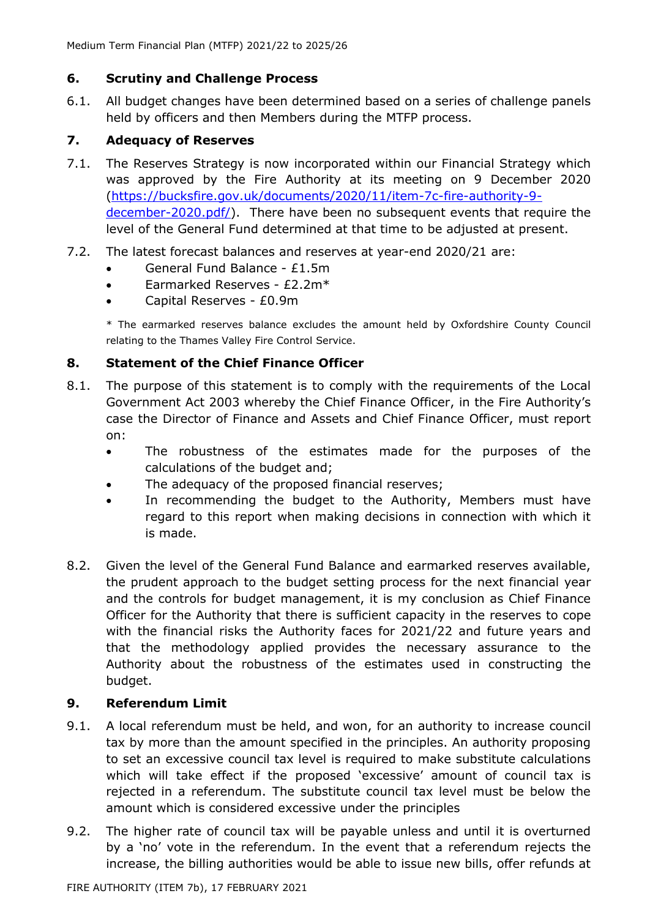# **6. Scrutiny and Challenge Process**

6.1. All budget changes have been determined based on a series of challenge panels held by officers and then Members during the MTFP process.

# **7. Adequacy of Reserves**

- 7.1. The Reserves Strategy is now incorporated within our Financial Strategy which was approved by the Fire Authority at its meeting on 9 December 2020 [\(https://bucksfire.gov.uk/documents/2020/11/item-7c-fire-authority-9](https://bucksfire.gov.uk/documents/2020/11/item-7c-fire-authority-9-december-2020.pdf/) [december-2020.pdf/\)](https://bucksfire.gov.uk/documents/2020/11/item-7c-fire-authority-9-december-2020.pdf/). There have been no subsequent events that require the level of the General Fund determined at that time to be adjusted at present.
- 7.2. The latest forecast balances and reserves at year-end 2020/21 are:
	- General Fund Balance £1.5m
	- Earmarked Reserves £2.2m\*
	- Capital Reserves £0.9m

\* The earmarked reserves balance excludes the amount held by Oxfordshire County Council relating to the Thames Valley Fire Control Service.

# **8. Statement of the Chief Finance Officer**

- 8.1. The purpose of this statement is to comply with the requirements of the Local Government Act 2003 whereby the Chief Finance Officer, in the Fire Authority's case the Director of Finance and Assets and Chief Finance Officer, must report on:
	- The robustness of the estimates made for the purposes of the calculations of the budget and;
	- The adequacy of the proposed financial reserves;
	- In recommending the budget to the Authority, Members must have regard to this report when making decisions in connection with which it is made.
- 8.2. Given the level of the General Fund Balance and earmarked reserves available, the prudent approach to the budget setting process for the next financial year and the controls for budget management, it is my conclusion as Chief Finance Officer for the Authority that there is sufficient capacity in the reserves to cope with the financial risks the Authority faces for 2021/22 and future years and that the methodology applied provides the necessary assurance to the Authority about the robustness of the estimates used in constructing the budget.

## **9. Referendum Limit**

- 9.1. A local referendum must be held, and won, for an authority to increase council tax by more than the amount specified in the principles. An authority proposing to set an excessive council tax level is required to make substitute calculations which will take effect if the proposed 'excessive' amount of council tax is rejected in a referendum. The substitute council tax level must be below the amount which is considered excessive under the principles
- 9.2. The higher rate of council tax will be payable unless and until it is overturned by a 'no' vote in the referendum. In the event that a referendum rejects the increase, the billing authorities would be able to issue new bills, offer refunds at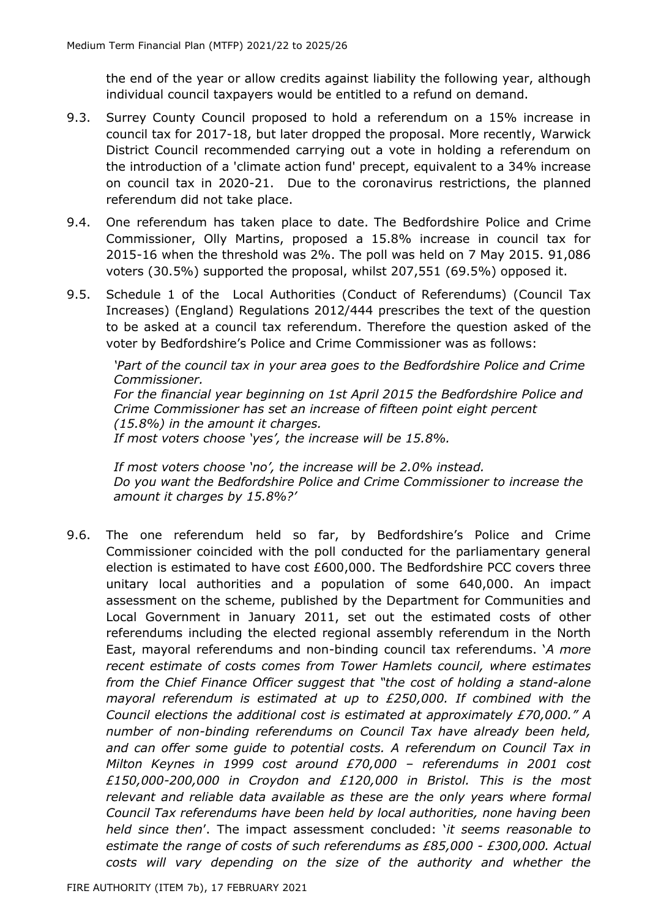the end of the year or allow credits against liability the following year, although individual council taxpayers would be entitled to a refund on demand.

- 9.3. Surrey County Council proposed to hold a referendum on a 15% increase in council tax for 2017-18, but later dropped the proposal. More recently, Warwick District Council recommended carrying out a vote in holding a referendum on the introduction of a 'climate action fund' precept, equivalent to a 34% increase on council tax in 2020-21. Due to the coronavirus restrictions, the planned referendum did not take place.
- 9.4. One referendum has taken place to date. The Bedfordshire Police and Crime Commissioner, Olly Martins, proposed a 15.8% increase in council tax for 2015-16 when the threshold was 2%. The poll was held on 7 May 2015. 91,086 voters (30.5%) supported the proposal, whilst 207,551 (69.5%) opposed it.
- 9.5. Schedule 1 of the Local Authorities (Conduct of Referendums) (Council Tax Increases) (England) Regulations 2012/444 prescribes the text of the question to be asked at a council tax referendum. Therefore the question asked of the voter by Bedfordshire's Police and Crime Commissioner was as follows:

*'Part of the council tax in your area goes to the Bedfordshire Police and Crime Commissioner. For the financial year beginning on 1st April 2015 the Bedfordshire Police and Crime Commissioner has set an increase of fifteen point eight percent (15.8%) in the amount it charges. If most voters choose 'yes', the increase will be 15.8%.*

*If most voters choose 'no', the increase will be 2.0% instead. Do you want the Bedfordshire Police and Crime Commissioner to increase the amount it charges by 15.8%?'*

9.6. The one referendum held so far, by Bedfordshire's Police and Crime Commissioner coincided with the poll conducted for the parliamentary general election is estimated to have cost £600,000. The Bedfordshire PCC covers three unitary local authorities and a population of some 640,000. An impact assessment on the scheme, published by the Department for Communities and Local Government in January 2011, set out the estimated costs of other referendums including the elected regional assembly referendum in the North East, mayoral referendums and non-binding council tax referendums. '*A more recent estimate of costs comes from Tower Hamlets council, where estimates from the Chief Finance Officer suggest that "the cost of holding a stand-alone mayoral referendum is estimated at up to £250,000. If combined with the Council elections the additional cost is estimated at approximately £70,000." A number of non-binding referendums on Council Tax have already been held, and can offer some guide to potential costs. A referendum on Council Tax in Milton Keynes in 1999 cost around £70,000 – referendums in 2001 cost £150,000-200,000 in Croydon and £120,000 in Bristol. This is the most*  relevant and reliable data available as these are the only years where formal *Council Tax referendums have been held by local authorities, none having been held since then*'. The impact assessment concluded: '*it seems reasonable to estimate the range of costs of such referendums as £85,000 - £300,000. Actual costs will vary depending on the size of the authority and whether the*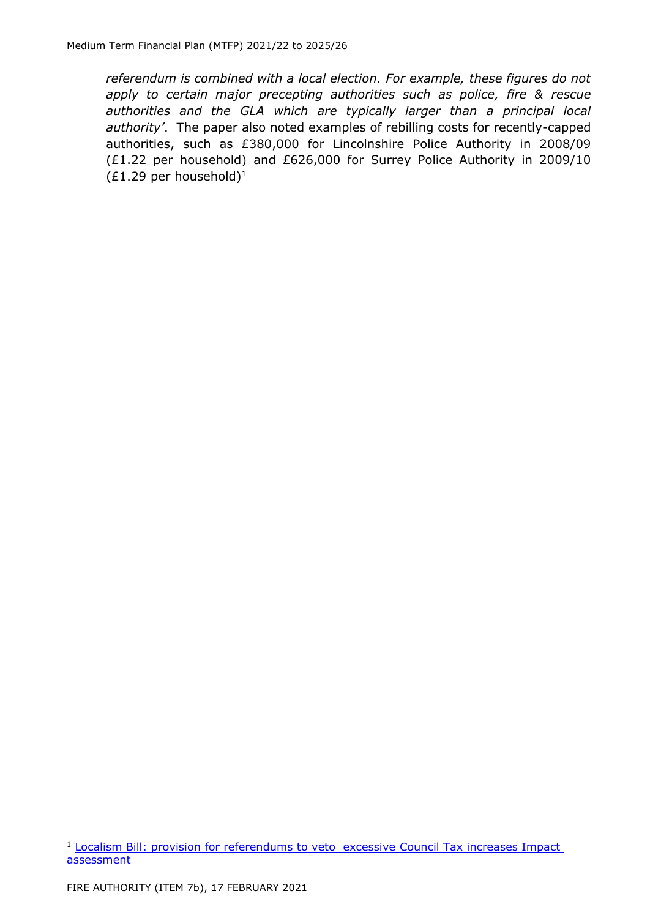*referendum is combined with a local election. For example, these figures do not apply to certain major precepting authorities such as police, fire & rescue authorities and the GLA which are typically larger than a principal local authority'*. The paper also noted examples of rebilling costs for recently-capped authorities, such as £380,000 for Lincolnshire Police Authority in 2008/09 (£1.22 per household) and £626,000 for Surrey Police Authority in 2009/10  $(E1.29$  per household)<sup>1</sup>

<sup>1</sup> [Localism Bill: provision for referendums to veto excessive](https://assets.publishing.service.gov.uk/government/uploads/system/uploads/attachment_data/file/6026/1829683.pdf) Council Tax increases Impact [assessment](https://assets.publishing.service.gov.uk/government/uploads/system/uploads/attachment_data/file/6026/1829683.pdf)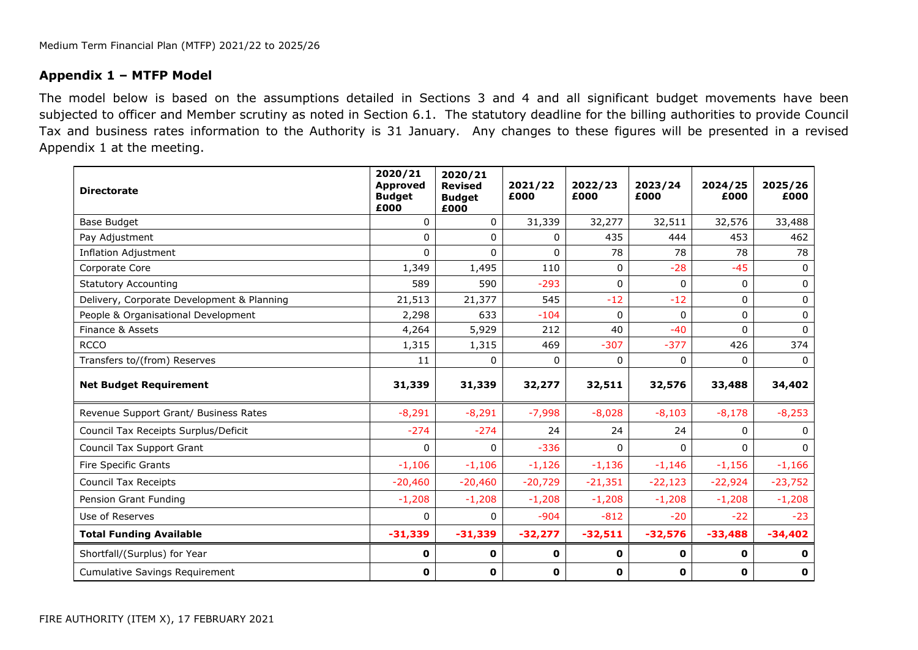#### **Appendix 1 – MTFP Model**

The model below is based on the assumptions detailed in Sections 3 and 4 and all significant budget movements have been subjected to officer and Member scrutiny as noted in Section 6.1. The statutory deadline for the billing authorities to provide Council Tax and business rates information to the Authority is 31 January. Any changes to these figures will be presented in a revised Appendix 1 at the meeting.

| <b>Directorate</b>                         | 2020/21<br><b>Approved</b><br><b>Budget</b><br>£000 | 2020/21<br><b>Revised</b><br><b>Budget</b><br>£000 | 2021/22<br>£000 | 2022/23<br>£000 | 2023/24<br>£000 | 2024/25<br>£000 | 2025/26<br>£000 |
|--------------------------------------------|-----------------------------------------------------|----------------------------------------------------|-----------------|-----------------|-----------------|-----------------|-----------------|
| Base Budget                                | $\mathbf{0}$                                        | 0                                                  | 31,339          | 32,277          | 32,511          | 32,576          | 33,488          |
| Pay Adjustment                             | $\Omega$                                            | 0                                                  | 0               | 435             | 444             | 453             | 462             |
| <b>Inflation Adjustment</b>                | $\Omega$                                            | $\Omega$                                           | $\mathbf{0}$    | 78              | 78              | 78              | 78              |
| Corporate Core                             | 1,349                                               | 1,495                                              | 110             | 0               | $-28$           | $-45$           | $\Omega$        |
| <b>Statutory Accounting</b>                | 589                                                 | 590                                                | $-293$          | 0               | 0               | 0               | $\Omega$        |
| Delivery, Corporate Development & Planning | 21,513                                              | 21,377                                             | 545             | $-12$           | $-12$           | 0               | 0               |
| People & Organisational Development        | 2,298                                               | 633                                                | $-104$          | 0               | $\Omega$        | $\Omega$        | $\Omega$        |
| Finance & Assets                           | 4,264                                               | 5,929                                              | 212             | 40              | $-40$           | $\Omega$        | $\Omega$        |
| <b>RCCO</b>                                | 1,315                                               | 1,315                                              | 469             | $-307$          | $-377$          | 426             | 374             |
| Transfers to/(from) Reserves               | 11                                                  | $\Omega$                                           | $\Omega$        | $\Omega$        | $\Omega$        | $\Omega$        | $\Omega$        |
| <b>Net Budget Requirement</b>              | 31,339                                              | 31,339                                             | 32,277          | 32,511          | 32,576          | 33,488          | 34,402          |
| Revenue Support Grant/ Business Rates      | $-8,291$                                            | $-8,291$                                           | $-7,998$        | $-8,028$        | $-8,103$        | $-8,178$        | $-8,253$        |
| Council Tax Receipts Surplus/Deficit       | $-274$                                              | $-274$                                             | 24              | 24              | 24              | 0               | $\Omega$        |
| Council Tax Support Grant                  | $\Omega$                                            | $\Omega$                                           | $-336$          | $\Omega$        | $\Omega$        | $\Omega$        | $\Omega$        |
| Fire Specific Grants                       | $-1,106$                                            | $-1,106$                                           | $-1,126$        | $-1,136$        | $-1,146$        | $-1,156$        | $-1,166$        |
| Council Tax Receipts                       | $-20,460$                                           | $-20,460$                                          | $-20,729$       | $-21,351$       | $-22,123$       | $-22,924$       | $-23,752$       |
| Pension Grant Funding                      | $-1,208$                                            | $-1,208$                                           | $-1,208$        | $-1,208$        | $-1,208$        | $-1,208$        | $-1,208$        |
| Use of Reserves                            | $\Omega$                                            | 0                                                  | $-904$          | $-812$          | $-20$           | $-22$           | $-23$           |
| <b>Total Funding Available</b>             | $-31,339$                                           | $-31,339$                                          | $-32,277$       | $-32,511$       | $-32,576$       | $-33,488$       | $-34,402$       |
| Shortfall/(Surplus) for Year               | 0                                                   | 0                                                  | $\mathbf 0$     | 0               | 0               | $\mathbf{o}$    | 0               |
| <b>Cumulative Savings Requirement</b>      | 0                                                   | 0                                                  | $\mathbf 0$     | 0               | 0               | $\mathbf 0$     | $\mathbf 0$     |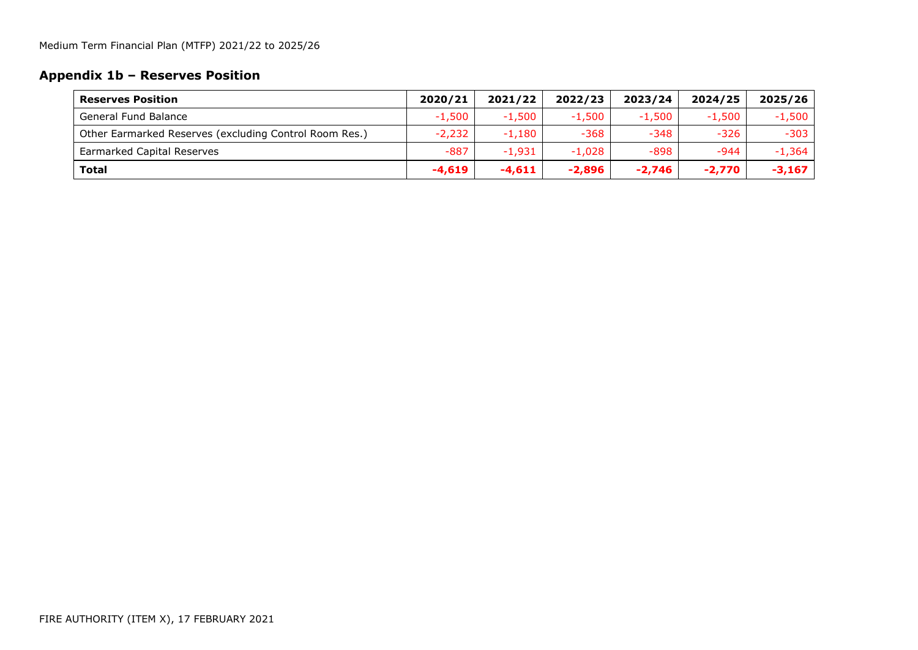# **Appendix 1b – Reserves Position**

| <b>Reserves Position</b>                               | 2020/21  | 2021/22  | 2022/23  | 2023/24  | 2024/25  | 2025/26  |
|--------------------------------------------------------|----------|----------|----------|----------|----------|----------|
| General Fund Balance                                   | $-1,500$ | $-1.500$ | $-1,500$ | $-1.500$ | $-1.500$ | $-1,500$ |
| Other Earmarked Reserves (excluding Control Room Res.) | $-2,232$ | $-1,180$ | $-368$   | -348     | $-326$   | $-303$   |
| <b>Earmarked Capital Reserves</b>                      | $-887$   | $-1.931$ | $-1.028$ | -898     | $-944$   | $-1.364$ |
| <b>Total</b>                                           | $-4,619$ | $-4,611$ | $-2,896$ | $-2,746$ | $-2,770$ | $-3,167$ |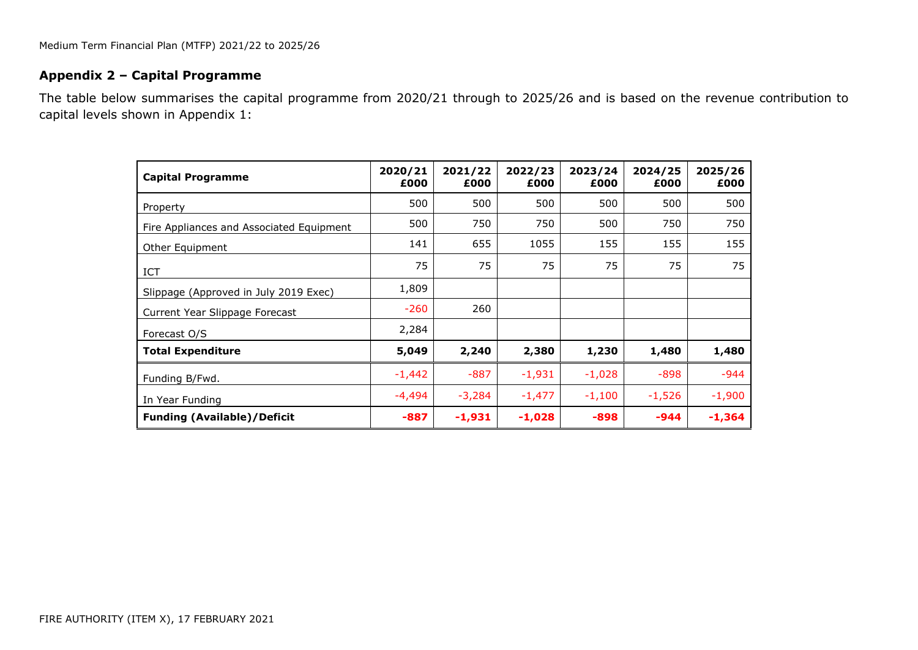## **Appendix 2 – Capital Programme**

The table below summarises the capital programme from 2020/21 through to 2025/26 and is based on the revenue contribution to capital levels shown in Appendix 1:

| <b>Capital Programme</b>                 | 2020/21<br>£000 | 2021/22<br>£000 | 2022/23<br>£000 | 2023/24<br>£000 | 2024/25<br>£000 | 2025/26<br>£000 |
|------------------------------------------|-----------------|-----------------|-----------------|-----------------|-----------------|-----------------|
| Property                                 | 500             | 500             | 500             | 500             | 500             | 500             |
| Fire Appliances and Associated Equipment | 500             | 750             | 750             | 500             | 750             | 750             |
| Other Equipment                          | 141             | 655             | 1055            | 155             | 155             | 155             |
| ICT                                      | 75              | 75              | 75              | 75              | 75              | 75              |
| Slippage (Approved in July 2019 Exec)    | 1,809           |                 |                 |                 |                 |                 |
| Current Year Slippage Forecast           | $-260$          | 260             |                 |                 |                 |                 |
| Forecast O/S                             | 2,284           |                 |                 |                 |                 |                 |
| <b>Total Expenditure</b>                 | 5,049           | 2,240           | 2,380           | 1,230           | 1,480           | 1,480           |
| Funding B/Fwd.                           | $-1,442$        | $-887$          | $-1,931$        | $-1,028$        | $-898$          | $-944$          |
| In Year Funding                          | -4,494          | $-3,284$        | $-1,477$        | $-1,100$        | $-1,526$        | $-1,900$        |
| <b>Funding (Available)/Deficit</b>       | $-887$          | $-1,931$        | $-1,028$        | $-898$          | -944            | $-1,364$        |